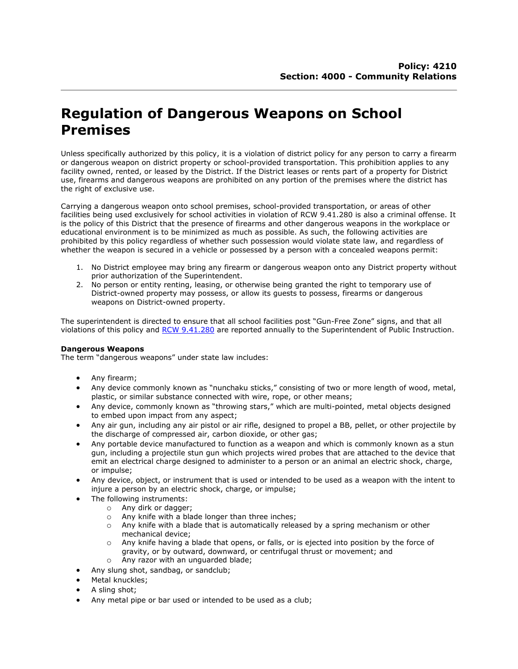# **Regulation of Dangerous Weapons on School Premises**

Unless specifically authorized by this policy, it is a violation of district policy for any person to carry a firearm or dangerous weapon on district property or school-provided transportation. This prohibition applies to any facility owned, rented, or leased by the District. If the District leases or rents part of a property for District use, firearms and dangerous weapons are prohibited on any portion of the premises where the district has the right of exclusive use.

Carrying a dangerous weapon onto school premises, school-provided transportation, or areas of other facilities being used exclusively for school activities in violation of RCW 9.41.280 is also a criminal offense. It is the policy of this District that the presence of firearms and other dangerous weapons in the workplace or educational environment is to be minimized as much as possible. As such, the following activities are prohibited by this policy regardless of whether such possession would violate state law, and regardless of whether the weapon is secured in a vehicle or possessed by a person with a concealed weapons permit:

- 1. No District employee may bring any firearm or dangerous weapon onto any District property without prior authorization of the Superintendent.
- 2. No person or entity renting, leasing, or otherwise being granted the right to temporary use of District-owned property may possess, or allow its guests to possess, firearms or dangerous weapons on District-owned property.

The superintendent is directed to ensure that all school facilities post "Gun-Free Zone" signs, and that all violations of this policy and [RCW 9.41.280](http://apps.leg.wa.gov/rcw/default.aspx?cite=9.41.280) are reported annually to the Superintendent of Public Instruction.

## **Dangerous Weapons**

The term "dangerous weapons" under state law includes:

- Any firearm;
- Any device commonly known as "nunchaku sticks," consisting of two or more length of wood, metal, plastic, or similar substance connected with wire, rope, or other means;
- Any device, commonly known as "throwing stars," which are multi-pointed, metal objects designed to embed upon impact from any aspect;
- Any air gun, including any air pistol or air rifle, designed to propel a BB, pellet, or other projectile by the discharge of compressed air, carbon dioxide, or other gas;
- Any portable device manufactured to function as a weapon and which is commonly known as a stun gun, including a projectile stun gun which projects wired probes that are attached to the device that emit an electrical charge designed to administer to a person or an animal an electric shock, charge, or impulse;
- Any device, object, or instrument that is used or intended to be used as a weapon with the intent to injure a person by an electric shock, charge, or impulse;
- The following instruments:
	- o Any dirk or dagger;
	- o Any knife with a blade longer than three inches;
	- o Any knife with a blade that is automatically released by a spring mechanism or other mechanical device;
	- o Any knife having a blade that opens, or falls, or is ejected into position by the force of gravity, or by outward, downward, or centrifugal thrust or movement; and
- o Any razor with an unguarded blade;
- Any slung shot, sandbag, or sandclub;
- Metal knuckles;
- A sling shot;
- Any metal pipe or bar used or intended to be used as a club;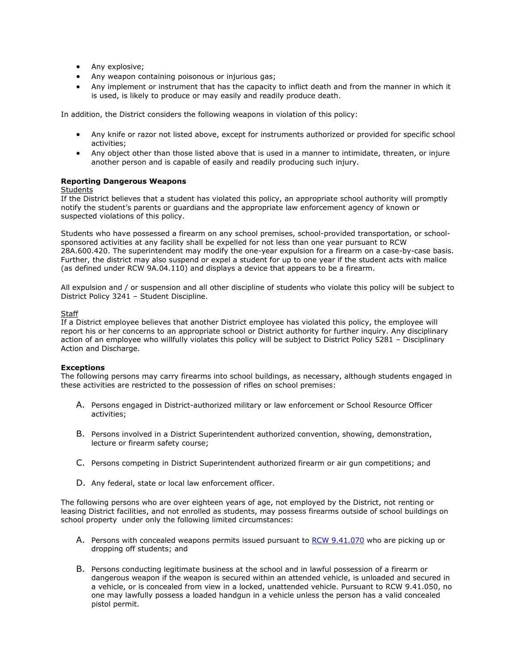- Any explosive;
- Any weapon containing poisonous or injurious gas;
- Any implement or instrument that has the capacity to inflict death and from the manner in which it is used, is likely to produce or may easily and readily produce death.

In addition, the District considers the following weapons in violation of this policy:

- Any knife or razor not listed above, except for instruments authorized or provided for specific school activities;
- Any object other than those listed above that is used in a manner to intimidate, threaten, or injure another person and is capable of easily and readily producing such injury.

## **Reporting Dangerous Weapons**

### Students

If the District believes that a student has violated this policy, an appropriate school authority will promptly notify the student's parents or guardians and the appropriate law enforcement agency of known or suspected violations of this policy.

Students who have possessed a firearm on any school premises, school-provided transportation, or schoolsponsored activities at any facility shall be expelled for not less than one year pursuant to RCW 28A.600.420. The superintendent may modify the one-year expulsion for a firearm on a case-by-case basis. Further, the district may also suspend or expel a student for up to one year if the student acts with malice (as defined under RCW 9A.04.110) and displays a device that appears to be a firearm.

All expulsion and / or suspension and all other discipline of students who violate this policy will be subject to District Policy 3241 – Student Discipline.

### **Staff**

If a District employee believes that another District employee has violated this policy, the employee will report his or her concerns to an appropriate school or District authority for further inquiry. Any disciplinary action of an employee who willfully violates this policy will be subject to District Policy 5281 – Disciplinary Action and Discharge.

## **Exceptions**

The following persons may carry firearms into school buildings, as necessary, although students engaged in these activities are restricted to the possession of rifles on school premises:

- A. Persons engaged in District-authorized military or law enforcement or School Resource Officer activities;
- B. Persons involved in a District Superintendent authorized convention, showing, demonstration, lecture or firearm safety course;
- C. Persons competing in District Superintendent authorized firearm or air gun competitions; and
- D. Any federal, state or local law enforcement officer.

The following persons who are over eighteen years of age, not employed by the District, not renting or leasing District facilities, and not enrolled as students, may possess firearms outside of school buildings on school property under only the following limited circumstances:

- A. Persons with concealed weapons permits issued pursuant to [RCW 9.41.070](http://apps.leg.wa.gov/rcw/default.aspx?cite=9.41.070) who are picking up or dropping off students; and
- B. Persons conducting legitimate business at the school and in lawful possession of a firearm or dangerous weapon if the weapon is secured within an attended vehicle, is unloaded and secured in a vehicle, or is concealed from view in a locked, unattended vehicle. Pursuant to RCW 9.41.050, no one may lawfully possess a loaded handgun in a vehicle unless the person has a valid concealed pistol permit.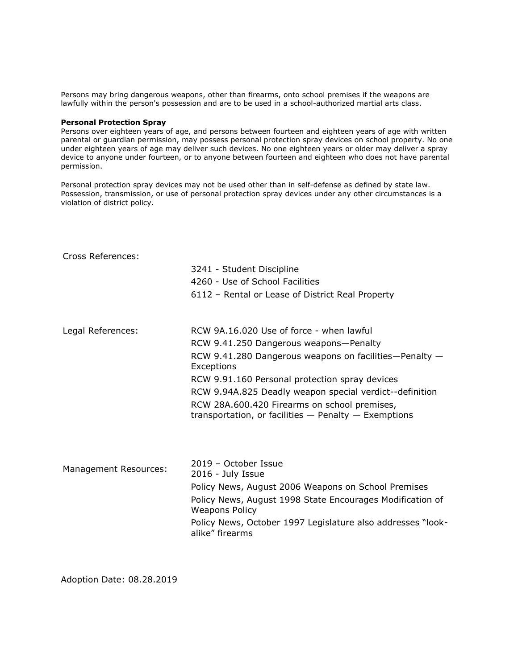Persons may bring dangerous weapons, other than firearms, onto school premises if the weapons are lawfully within the person's possession and are to be used in a school-authorized martial arts class.

#### **Personal Protection Spray**

Persons over eighteen years of age, and persons between fourteen and eighteen years of age with written parental or guardian permission, may possess personal protection spray devices on school property. No one under eighteen years of age may deliver such devices. No one eighteen years or older may deliver a spray device to anyone under fourteen, or to anyone between fourteen and eighteen who does not have parental permission.

Personal protection spray devices may not be used other than in self-defense as defined by state law. Possession, transmission, or use of personal protection spray devices under any other circumstances is a violation of district policy.

| Cross References:     |                                                                                                          |
|-----------------------|----------------------------------------------------------------------------------------------------------|
|                       | 3241 - Student Discipline                                                                                |
|                       | 4260 - Use of School Facilities                                                                          |
|                       | 6112 - Rental or Lease of District Real Property                                                         |
| Legal References:     | RCW 9A.16.020 Use of force - when lawful                                                                 |
|                       | RCW 9.41.250 Dangerous weapons-Penalty                                                                   |
|                       | RCW 9.41.280 Dangerous weapons on facilities-Penalty $-$<br>Exceptions                                   |
|                       | RCW 9.91.160 Personal protection spray devices                                                           |
|                       | RCW 9.94A.825 Deadly weapon special verdict--definition                                                  |
|                       | RCW 28A.600.420 Firearms on school premises,<br>transportation, or facilities $-$ Penalty $-$ Exemptions |
|                       |                                                                                                          |
| Management Resources: | 2019 – October Issue<br>2016 - July Issue                                                                |
|                       | Policy News, August 2006 Weapons on School Premises                                                      |
|                       | Policy News, August 1998 State Encourages Modification of<br><b>Weapons Policy</b>                       |
|                       | Policy News, October 1997 Legislature also addresses "look-<br>alike" firearms                           |

Adoption Date: 08.28.2019